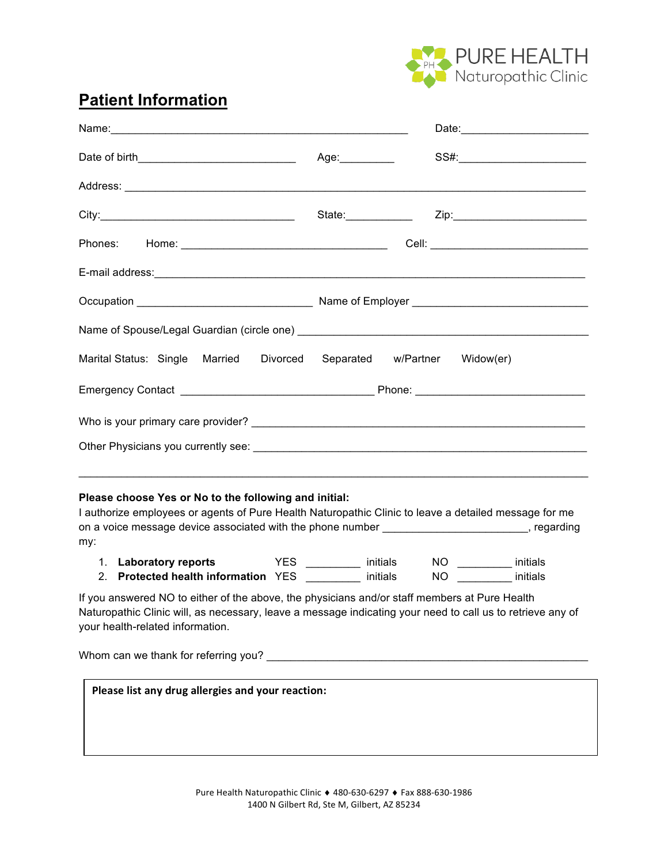

# **Patient Information**

|                                                                                                                                                                                                                                                                                                                                                                      |                | Date: 2008                                         |
|----------------------------------------------------------------------------------------------------------------------------------------------------------------------------------------------------------------------------------------------------------------------------------------------------------------------------------------------------------------------|----------------|----------------------------------------------------|
| Date of birth_______________________________                                                                                                                                                                                                                                                                                                                         | Age:__________ | SS#:_________________________                      |
|                                                                                                                                                                                                                                                                                                                                                                      |                |                                                    |
|                                                                                                                                                                                                                                                                                                                                                                      |                |                                                    |
|                                                                                                                                                                                                                                                                                                                                                                      |                |                                                    |
|                                                                                                                                                                                                                                                                                                                                                                      |                |                                                    |
|                                                                                                                                                                                                                                                                                                                                                                      |                |                                                    |
|                                                                                                                                                                                                                                                                                                                                                                      |                |                                                    |
| Marital Status: Single Married Divorced Separated w/Partner Widow(er)                                                                                                                                                                                                                                                                                                |                |                                                    |
|                                                                                                                                                                                                                                                                                                                                                                      |                |                                                    |
|                                                                                                                                                                                                                                                                                                                                                                      |                |                                                    |
|                                                                                                                                                                                                                                                                                                                                                                      |                |                                                    |
| Please choose Yes or No to the following and initial:<br>I authorize employees or agents of Pure Health Naturopathic Clinic to leave a detailed message for me<br>on a voice message device associated with the phone number _______________________, regarding<br>my:<br>1. Laboratory reports VES _______ initials<br>2. Protected health information YES initials |                | NO ____________ initials<br>NO __________ initials |
| If you answered NO to either of the above, the physicians and/or staff members at Pure Health<br>Naturopathic Clinic will, as necessary, leave a message indicating your need to call us to retrieve any of<br>your health-related information.                                                                                                                      |                |                                                    |
|                                                                                                                                                                                                                                                                                                                                                                      |                |                                                    |
| Please list any drug allergies and your reaction:                                                                                                                                                                                                                                                                                                                    |                |                                                    |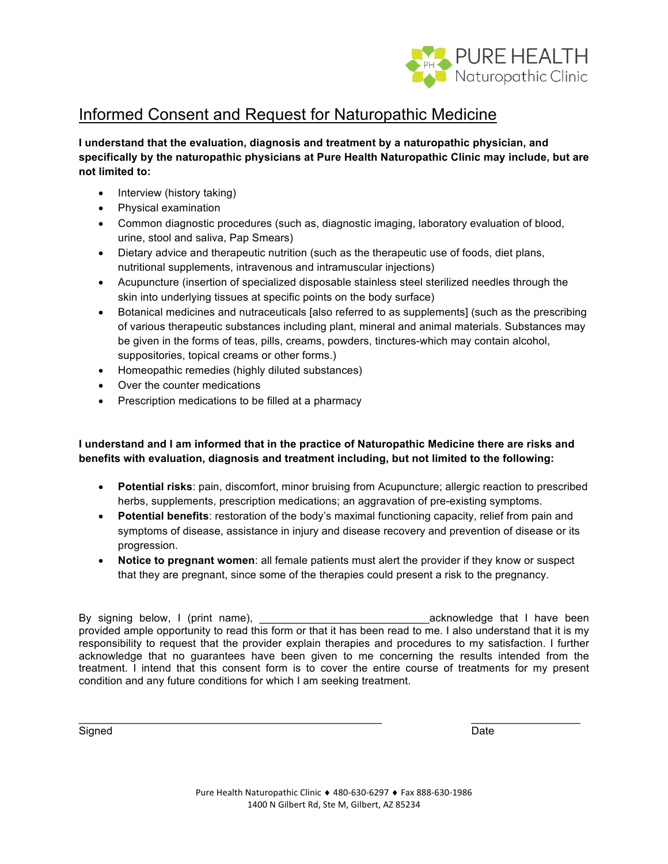

# Informed Consent and Request for Naturopathic Medicine

**I understand that the evaluation, diagnosis and treatment by a naturopathic physician, and specifically by the naturopathic physicians at Pure Health Naturopathic Clinic may include, but are not limited to:**

- Interview (history taking)
- Physical examination
- Common diagnostic procedures (such as, diagnostic imaging, laboratory evaluation of blood, urine, stool and saliva, Pap Smears)
- Dietary advice and therapeutic nutrition (such as the therapeutic use of foods, diet plans, nutritional supplements, intravenous and intramuscular injections)
- Acupuncture (insertion of specialized disposable stainless steel sterilized needles through the skin into underlying tissues at specific points on the body surface)
- Botanical medicines and nutraceuticals [also referred to as supplements] (such as the prescribing of various therapeutic substances including plant, mineral and animal materials. Substances may be given in the forms of teas, pills, creams, powders, tinctures-which may contain alcohol, suppositories, topical creams or other forms.)
- Homeopathic remedies (highly diluted substances)
- Over the counter medications
- Prescription medications to be filled at a pharmacy

## **I understand and I am informed that in the practice of Naturopathic Medicine there are risks and benefits with evaluation, diagnosis and treatment including, but not limited to the following:**

- **Potential risks**: pain, discomfort, minor bruising from Acupuncture; allergic reaction to prescribed herbs, supplements, prescription medications; an aggravation of pre-existing symptoms.
- **Potential benefits**: restoration of the body's maximal functioning capacity, relief from pain and symptoms of disease, assistance in injury and disease recovery and prevention of disease or its progression.
- **Notice to pregnant women**: all female patients must alert the provider if they know or suspect that they are pregnant, since some of the therapies could present a risk to the pregnancy.

By signing below, I (print name), \_\_\_\_\_\_\_\_\_\_\_\_\_\_\_\_\_\_\_\_\_\_\_\_\_\_\_\_acknowledge that I have been provided ample opportunity to read this form or that it has been read to me. I also understand that it is my responsibility to request that the provider explain therapies and procedures to my satisfaction. I further acknowledge that no guarantees have been given to me concerning the results intended from the treatment. I intend that this consent form is to cover the entire course of treatments for my present condition and any future conditions for which I am seeking treatment.

 $\_$  ,  $\_$  ,  $\_$  ,  $\_$  ,  $\_$  ,  $\_$  ,  $\_$  ,  $\_$  ,  $\_$  ,  $\_$  ,  $\_$  ,  $\_$  ,  $\_$  ,  $\_$  ,  $\_$  ,  $\_$  ,  $\_$  ,  $\_$  ,  $\_$  ,  $\_$ 

Signed Date (2009) and the state of the state of the state of the state of the Signed Date of the Signed Date o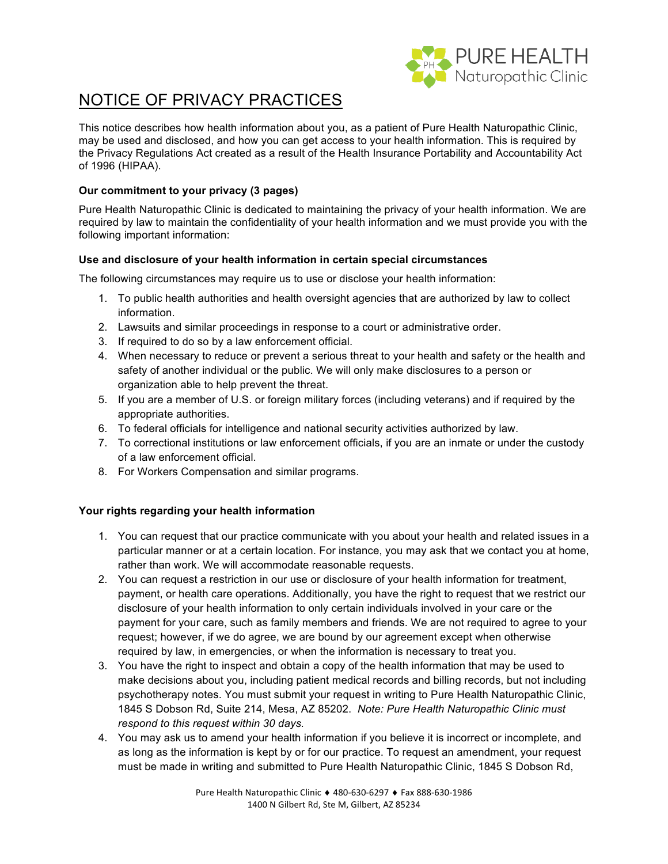

# NOTICE OF PRIVACY PRACTICES

This notice describes how health information about you, as a patient of Pure Health Naturopathic Clinic, may be used and disclosed, and how you can get access to your health information. This is required by the Privacy Regulations Act created as a result of the Health Insurance Portability and Accountability Act of 1996 (HIPAA).

## **Our commitment to your privacy (3 pages)**

Pure Health Naturopathic Clinic is dedicated to maintaining the privacy of your health information. We are required by law to maintain the confidentiality of your health information and we must provide you with the following important information:

### **Use and disclosure of your health information in certain special circumstances**

The following circumstances may require us to use or disclose your health information:

- 1. To public health authorities and health oversight agencies that are authorized by law to collect information.
- 2. Lawsuits and similar proceedings in response to a court or administrative order.
- 3. If required to do so by a law enforcement official.
- 4. When necessary to reduce or prevent a serious threat to your health and safety or the health and safety of another individual or the public. We will only make disclosures to a person or organization able to help prevent the threat.
- 5. If you are a member of U.S. or foreign military forces (including veterans) and if required by the appropriate authorities.
- 6. To federal officials for intelligence and national security activities authorized by law.
- 7. To correctional institutions or law enforcement officials, if you are an inmate or under the custody of a law enforcement official.
- 8. For Workers Compensation and similar programs.

### **Your rights regarding your health information**

- 1. You can request that our practice communicate with you about your health and related issues in a particular manner or at a certain location. For instance, you may ask that we contact you at home, rather than work. We will accommodate reasonable requests.
- 2. You can request a restriction in our use or disclosure of your health information for treatment, payment, or health care operations. Additionally, you have the right to request that we restrict our disclosure of your health information to only certain individuals involved in your care or the payment for your care, such as family members and friends. We are not required to agree to your request; however, if we do agree, we are bound by our agreement except when otherwise required by law, in emergencies, or when the information is necessary to treat you.
- 3. You have the right to inspect and obtain a copy of the health information that may be used to make decisions about you, including patient medical records and billing records, but not including psychotherapy notes. You must submit your request in writing to Pure Health Naturopathic Clinic, 1845 S Dobson Rd, Suite 214, Mesa, AZ 85202. *Note: Pure Health Naturopathic Clinic must respond to this request within 30 days.*
- 4. You may ask us to amend your health information if you believe it is incorrect or incomplete, and as long as the information is kept by or for our practice. To request an amendment, your request must be made in writing and submitted to Pure Health Naturopathic Clinic, 1845 S Dobson Rd,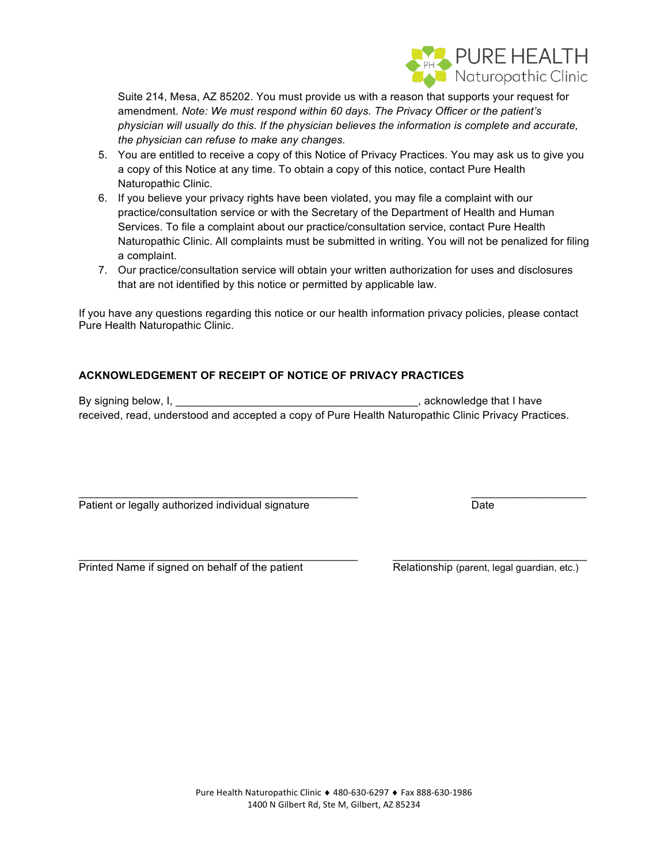

Suite 214, Mesa, AZ 85202. You must provide us with a reason that supports your request for amendment. *Note: We must respond within 60 days. The Privacy Officer or the patient's physician will usually do this. If the physician believes the information is complete and accurate, the physician can refuse to make any changes.*

- 5. You are entitled to receive a copy of this Notice of Privacy Practices. You may ask us to give you a copy of this Notice at any time. To obtain a copy of this notice, contact Pure Health Naturopathic Clinic.
- 6. If you believe your privacy rights have been violated, you may file a complaint with our practice/consultation service or with the Secretary of the Department of Health and Human Services. To file a complaint about our practice/consultation service, contact Pure Health Naturopathic Clinic. All complaints must be submitted in writing. You will not be penalized for filing a complaint.
- 7. Our practice/consultation service will obtain your written authorization for uses and disclosures that are not identified by this notice or permitted by applicable law.

If you have any questions regarding this notice or our health information privacy policies, please contact Pure Health Naturopathic Clinic.

## **ACKNOWLEDGEMENT OF RECEIPT OF NOTICE OF PRIVACY PRACTICES**

By signing below, I, \_\_\_\_\_\_\_\_\_\_\_\_\_\_\_\_\_\_\_\_\_\_\_\_\_\_\_\_\_\_\_\_\_\_\_\_\_\_\_\_, acknowledge that I have received, read, understood and accepted a copy of Pure Health Naturopathic Clinic Privacy Practices.

 $\mathcal{L}_\text{max}$  , and the set of the set of the set of the set of the set of the set of the set of the set of the set of the set of the set of the set of the set of the set of the set of the set of the set of the set of the

 $\mathcal{L}_\mathcal{L} = \{ \mathcal{L}_\mathcal{L} = \{ \mathcal{L}_\mathcal{L} = \{ \mathcal{L}_\mathcal{L} = \{ \mathcal{L}_\mathcal{L} = \{ \mathcal{L}_\mathcal{L} = \{ \mathcal{L}_\mathcal{L} = \{ \mathcal{L}_\mathcal{L} = \{ \mathcal{L}_\mathcal{L} = \{ \mathcal{L}_\mathcal{L} = \{ \mathcal{L}_\mathcal{L} = \{ \mathcal{L}_\mathcal{L} = \{ \mathcal{L}_\mathcal{L} = \{ \mathcal{L}_\mathcal{L} = \{ \mathcal{L}_\mathcal{$ 

Patient or legally authorized individual signature Date Date

Printed Name if signed on behalf of the patient Relationship (parent, legal guardian, etc.)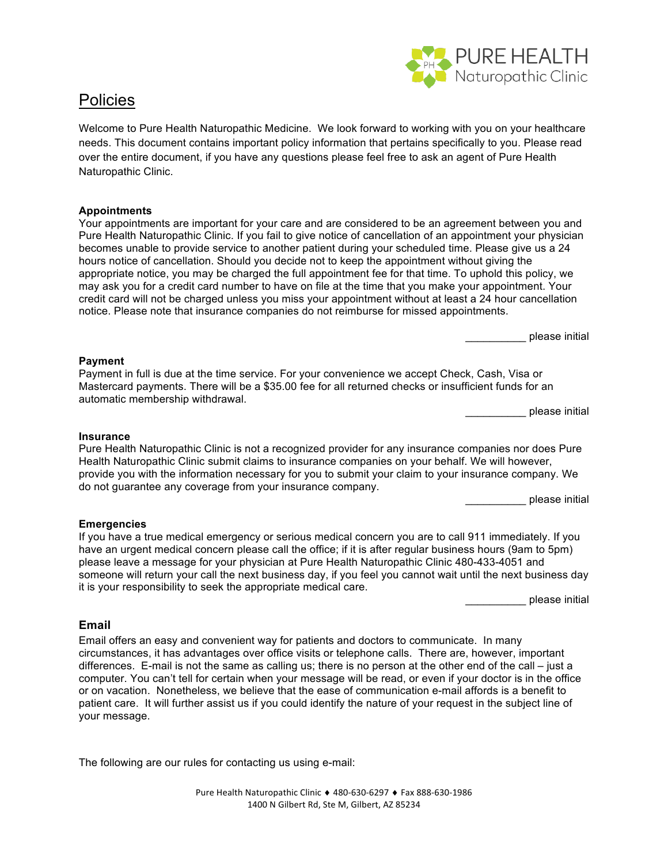

## **Policies**

Welcome to Pure Health Naturopathic Medicine. We look forward to working with you on your healthcare needs. This document contains important policy information that pertains specifically to you. Please read over the entire document, if you have any questions please feel free to ask an agent of Pure Health Naturopathic Clinic.

### **Appointments**

Your appointments are important for your care and are considered to be an agreement between you and Pure Health Naturopathic Clinic. If you fail to give notice of cancellation of an appointment your physician becomes unable to provide service to another patient during your scheduled time. Please give us a 24 hours notice of cancellation. Should you decide not to keep the appointment without giving the appropriate notice, you may be charged the full appointment fee for that time. To uphold this policy, we may ask you for a credit card number to have on file at the time that you make your appointment. Your credit card will not be charged unless you miss your appointment without at least a 24 hour cancellation notice. Please note that insurance companies do not reimburse for missed appointments.

\_\_\_\_\_\_\_\_\_\_ please initial

### **Payment**

Payment in full is due at the time service. For your convenience we accept Check, Cash, Visa or Mastercard payments. There will be a \$35.00 fee for all returned checks or insufficient funds for an automatic membership withdrawal.

\_\_\_\_\_\_\_\_\_\_ please initial

#### **Insurance**

Pure Health Naturopathic Clinic is not a recognized provider for any insurance companies nor does Pure Health Naturopathic Clinic submit claims to insurance companies on your behalf. We will however, provide you with the information necessary for you to submit your claim to your insurance company. We do not guarantee any coverage from your insurance company.

please initial

#### **Emergencies**

If you have a true medical emergency or serious medical concern you are to call 911 immediately. If you have an urgent medical concern please call the office; if it is after regular business hours (9am to 5pm) please leave a message for your physician at Pure Health Naturopathic Clinic 480-433-4051 and someone will return your call the next business day, if you feel you cannot wait until the next business day it is your responsibility to seek the appropriate medical care.

\_\_\_\_\_\_\_\_\_\_ please initial

#### **Email**

Email offers an easy and convenient way for patients and doctors to communicate. In many circumstances, it has advantages over office visits or telephone calls. There are, however, important differences. E-mail is not the same as calling us; there is no person at the other end of the call – just a computer. You can't tell for certain when your message will be read, or even if your doctor is in the office or on vacation. Nonetheless, we believe that the ease of communication e-mail affords is a benefit to patient care. It will further assist us if you could identify the nature of your request in the subject line of your message.

The following are our rules for contacting us using e-mail: